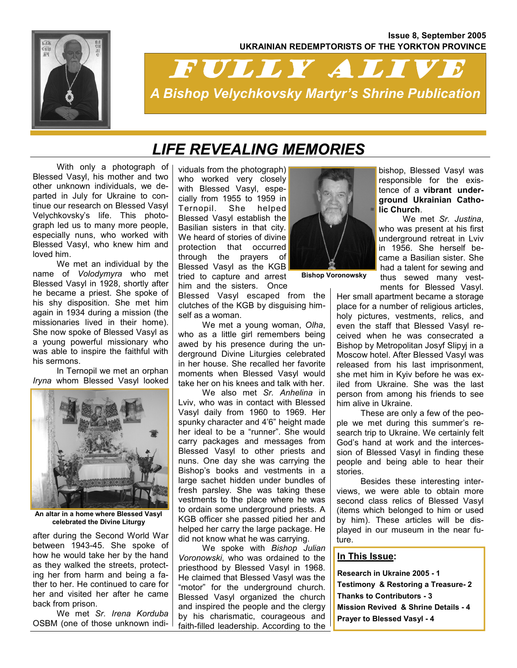### **Issue 8, September 2005 UKRAINIAN REDEMPTORISTS OF THE YORKTON PROVINCE**



# FULLY ALIVE *A Bishop Velychkovsky Martyr's Shrine Publication*

# *LIFE REVEALING MEMORIES*

 With only a photograph of Blessed Vasyl, his mother and two other unknown individuals, we departed in July for Ukraine to continue our research on Blessed Vasyl Velychkovsky's life. This photograph led us to many more people, especially nuns, who worked with Blessed Vasyl, who knew him and loved him.

 We met an individual by the name of *Volodymyra* who met Blessed Vasyl in 1928, shortly after he became a priest. She spoke of his shy disposition. She met him again in 1934 during a mission (the missionaries lived in their home). She now spoke of Blessed Vasyl as a young powerful missionary who was able to inspire the faithful with his sermons.

 In Ternopil we met an orphan *Iryna* whom Blessed Vasyl looked



**An altar in a home where Blessed Vasyl celebrated the Divine Liturgy** 

after during the Second World War between 1943-45. She spoke of how he would take her by the hand as they walked the streets, protecting her from harm and being a father to her. He continued to care for her and visited her after he came back from prison.

 We met *Sr. Irena Korduba*  OSBM (one of those unknown individuals from the photograph) who worked very closely with Blessed Vasyl, especially from 1955 to 1959 in Ternopil. She helped Blessed Vasyl establish the Basilian sisters in that city. We heard of stories of divine protection that occurred through the prayers of Blessed Vasyl as the KGB tried to capture and arrest him and the sisters. Once

Blessed Vasyl escaped from the clutches of the KGB by disguising himself as a woman.

 We met a young woman, *Olha*, who as a little girl remembers being awed by his presence during the underground Divine Liturgies celebrated in her house. She recalled her favorite moments when Blessed Vasyl would take her on his knees and talk with her.

 We also met *Sr. Anhelina* in Lviv, who was in contact with Blessed Vasyl daily from 1960 to 1969. Her spunky character and 4'6" height made her ideal to be a "runner". She would carry packages and messages from Blessed Vasyl to other priests and nuns. One day she was carrying the Bishop's books and vestments in a large sachet hidden under bundles of fresh parsley. She was taking these vestments to the place where he was to ordain some underground priests. A KGB officer she passed pitied her and helped her carry the large package. He did not know what he was carrying.

 We spoke with *Bishop Julian Voronowski*, who was ordained to the priesthood by Blessed Vasyl in 1968. He claimed that Blessed Vasyl was the "motor" for the underground church. Blessed Vasyl organized the church and inspired the people and the clergy by his charismatic, courageous and faith-filled leadership. According to the



**Bishop Voronowsky** 

bishop, Blessed Vasyl was responsible for the existence of a **vibrant underground Ukrainian Catholic Church**.

 We met *Sr. Justina*, who was present at his first underground retreat in Lviv in 1956. She herself became a Basilian sister. She had a talent for sewing and thus sewed many vestments for Blessed Vasyl.

Her small apartment became a storage place for a number of religious articles, holy pictures, vestments, relics, and even the staff that Blessed Vasyl received when he was consecrated a Bishop by Metropolitan Josyf Slipyj in a Moscow hotel. After Blessed Vasyl was released from his last imprisonment, she met him in Kyiv before he was exiled from Ukraine. She was the last person from among his friends to see him alive in Ukraine.

 These are only a few of the people we met during this summer's research trip to Ukraine. We certainly felt God's hand at work and the intercession of Blessed Vasyl in finding these people and being able to hear their stories.

 Besides these interesting interviews, we were able to obtain more second class relics of Blessed Vasyl (items which belonged to him or used by him). These articles will be displayed in our museum in the near future.

### **In This Issue:**

**Research in Ukraine 2005 - 1 Testimony & Restoring a Treasure- 2 Thanks to Contributors - 3 Mission Revived & Shrine Details - 4 Prayer to Blessed Vasyl - 4**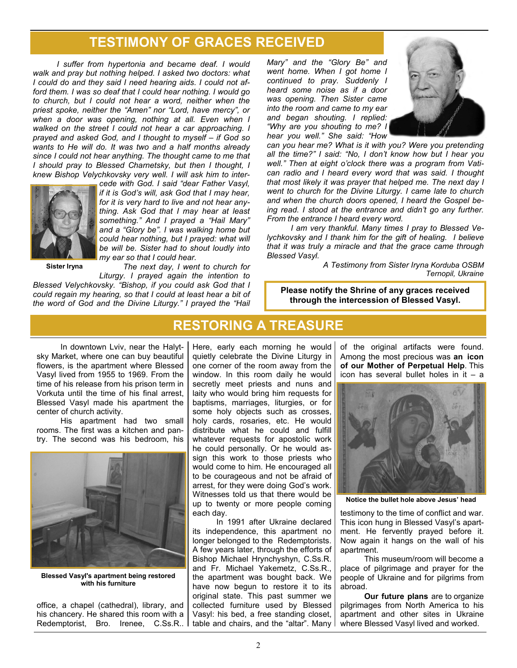## **TESTIMONY OF GRACES RECEIVED**

*I suffer from hypertonia and became deaf. I would walk and pray but nothing helped. I asked two doctors: what I could do and they said I need hearing aids. I could not afford them. I was so deaf that I could hear nothing. I would go to church, but I could not hear a word, neither when the priest spoke, neither the "Amen" nor "Lord, have mercy", or when a door was opening, nothing at all. Even when I walked on the street I could not hear a car approaching. I prayed and asked God, and I thought to myself – if God so wants to He will do. It was two and a half months already since I could not hear anything. The thought came to me that I should pray to Blessed Charnetsky, but then I thought, I knew Bishop Velychkovsky very well. I will ask him to inter-*



*cede with God. I said "dear Father Vasyl, if it is God's will, ask God that I may hear, for it is very hard to live and not hear anything. Ask God that I may hear at least something." And I prayed a "Hail Mary" and a "Glory be". I was walking home but could hear nothing, but I prayed: what will be will be. Sister had to shout loudly into my ear so that I could hear.* 

**Sister Iryna** 

 *The next day, I went to church for Liturgy. I prayed again the intention to* 

*Blessed Velychkovsky. "Bishop, if you could ask God that I could regain my hearing, so that I could at least hear a bit of the word of God and the Divine Liturgy." I prayed the "Hail*  *Mary" and the "Glory Be" and went home. When I got home I continued to pray. Suddenly I heard some noise as if a door was opening. Then Sister came into the room and came to my ear and began shouting. I replied: "Why are you shouting to me? I hear you well." She said: "How* 



*can you hear me? What is it with you? Were you pretending all the time?" I said: "No, I don't know how but I hear you well." Then at eight o'clock there was a program from Vatican radio and I heard every word that was said. I thought that most likely it was prayer that helped me. The next day I went to church for the Divine Liturgy. I came late to church and when the church doors opened, I heard the Gospel being read. I stood at the entrance and didn't go any further. From the entrance I heard every word.* 

 *I am very thankful. Many times I pray to Blessed Velychkovsky and I thank him for the gift of healing. I believe that it was truly a miracle and that the grace came through Blessed Vasyl.* 

> *A Testimony from Sister Iryna Korduba OSBM Ternopil, Ukraine*

**Please notify the Shrine of any graces received through the intercession of Blessed Vasyl.** 

In downtown Lviv, near the Halytsky Market, where one can buy beautiful flowers, is the apartment where Blessed Vasyl lived from 1955 to 1969. From the time of his release from his prison term in Vorkuta until the time of his final arrest, Blessed Vasyl made his apartment the center of church activity.

 His apartment had two small rooms. The first was a kitchen and pantry. The second was his bedroom, his



**Blessed Vasyl's apartment being restored with his furniture** 

office, a chapel (cathedral), library, and his chancery. He shared this room with a Redemptorist, Bro. Irenee, C.Ss.R..

## **RESTORING A TREASURE**

Here, early each morning he would quietly celebrate the Divine Liturgy in one corner of the room away from the window. In this room daily he would secretly meet priests and nuns and laity who would bring him requests for baptisms, marriages, liturgies, or for some holy objects such as crosses, holy cards, rosaries, etc. He would distribute what he could and fulfill whatever requests for apostolic work he could personally. Or he would assign this work to those priests who would come to him. He encouraged all to be courageous and not be afraid of arrest, for they were doing God's work. Witnesses told us that there would be up to twenty or more people coming each day.

 In 1991 after Ukraine declared its independence, this apartment no longer belonged to the Redemptorists. A few years later, through the efforts of Bishop Michael Hrynchyshyn, C.Ss.R. and Fr. Michael Yakemetz, C.Ss.R., the apartment was bought back. We have now begun to restore it to its original state. This past summer we collected furniture used by Blessed Vasyl: his bed, a free standing closet, table and chairs, and the "altar". Many of the original artifacts were found. Among the most precious was **an icon of our Mother of Perpetual Help**. This icon has several bullet holes in it  $-$  a



**Notice the bullet hole above Jesus' head** 

testimony to the time of conflict and war. This icon hung in Blessed Vasyl's apartment. He fervently prayed before it. Now again it hangs on the wall of his apartment.

 This museum/room will become a place of pilgrimage and prayer for the people of Ukraine and for pilgrims from abroad.

**Our future plans** are to organize pilgrimages from North America to his apartment and other sites in Ukraine where Blessed Vasyl lived and worked.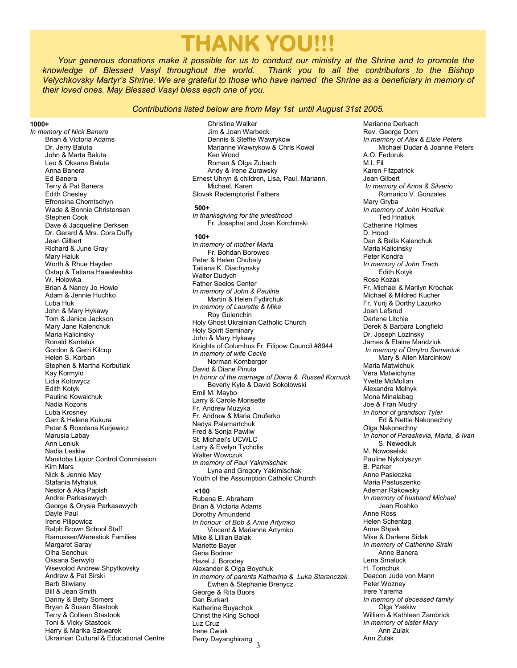# **THANK YOU!!!**

*Your generous donations make it possible for us to conduct our ministry at the Shrine and to promote the knowledge of Blessed Vasyl throughout the world. Thank you to all the contributors to the Bishop Velychkovsky Martyr's Shrine. We are grateful to those who have named the Shrine as a beneficiary in memory of their loved ones. May Blessed Vasyl bless each one of you.* 

#### *Contributions listed below are from May 1st until August 31st 2005.*

Christine Walker

#### **1000+**

*In memory of Nick Banera*  Brian & Victoria Adams Dr. Jerry Baluta John & Marta Baluta Leo & Oksana Baluta Anna Banera Ed Banera Terry & Pat Banera Edith Chesley Efronsina Chomtschyn Wade & Bonnie Christensen Stephen Cook Dave & Jacqueline Derksen Dr. Gerard & Mrs. Cora Duffy Jean Gilbert Richard & June Gray Mary Haluk Worth & Rhue Hayden Ostap & Tatiana Hawaleshka W. Holowka Brian & Nancy Jo Howie Adam & Jennie Huchko Luba Huk John & Mary Hykawy Tom & Janice Jackson Mary Jane Kalenchuk Maria Kalicinsky Ronald Kanteluk Gordon & Gerri Kilcup Helen S. Korban Stephen & Martha Korbutiak Kay Kormylo Lidia Kotowycz Edith Kotyk Pauline Kowalchuk Nadia Kozoris Luba Krosney Garr & Helene Kukura Peter & Roxolana Kurjewicz Marusia Labay Ann Leniuk Nadia Leskiw Manitoba Liquor Control Commission Kim Mars Nick & Jennie May Stafania Myhaluk Nestor & Aka Papish Andrei Parkasewych George & Orysia Parkasewych Dayle Paul Irene Pilipowicz Ralph Brown School Staff Ramussen/Werestiuk Families Margaret Saray Olha Senchuk Oksana Serwylo Wsevolod Andrew Shpytkovsky Andrew & Pat Sirski Barb Sliwiany Bill & Jean Smith Danny & Betty Somers Bryan & Susan Stastook Terry & Colleen Stastook Toni & Vicky Stastook Harry & Marika Szkwarek Ukrainian Cultural & Educational Centre

 Jim & Joan Warbeck Dennis & Steffie Wawrykow Marianne Wawrykow & Chris Kowal Ken Wood Roman & Olga Zubach Andy & Irene Zurawsky Ernest Uhryn & children, Lisa, Paul, Mariann, Michael, Karen Slovak Redemptorist Fathers **500+**  *In thanksgiving for the priesthood*  Fr. Josaphat and Joan Korchinski **100+**  *In memory of mother Maria*  Fr. Bohdan Borowec Peter & Helen Chubaty Tatiana K. Diachynsky Walter Dudych Father Seelos Center *In memory of John & Pauline*  Martin & Helen Fydirchuk *In memory of Laurette & Mike*  Roy Gulenchin Holy Ghost Ukrainian Catholic Church Holy Spirit Seminary John & Mary Hykawy Knights of Columbus Fr. Filipow Council #8944 *In memory of wife Cecile*  Norman Kornberger David & Diane Pinuta *In honor of the marriage of Diana & Russell Kornuck*  Beverly Kyle & David Sokolowski Emil M. Maybo Larry & Carole Morisette Fr. Andrew Muzyka Fr. Andrew & Maria Onuferko Nadya Palamartchuk Fred & Sonja Pawliw St. Michael's UCWLC Larry & Evelyn Tycholis Walter Wowczuk *In memory of Paul Yakimischak*  Lyna and Gregory Yakimischak Youth of the Assumption Catholic Church **<100** 

3 Rubena E. Abraham Brian & Victoria Adams Dorothy Amundend *In honour of Bob & Anne Artymko*  Vincent & Marianne Artymko Mike & Lillian Balak Mariette Bayer Gena Bodnar Hazel J. Borodey Alexander & Olga Boychuk *In memory of parents Katharina & Luka Staranczak*  Ewhen & Stephanie Brenycz George & Rita Buors Dan Burkart Katherine Buyachok Christ the King School Luz Cruz Irene Cwiak Perry Dayanghirang

Marianne Derkach Rev. George Dorn *In memory of Alex & Elsie Peters*  Michael Dudar & Joanne Peters A.O. Fedoruk M.I. Fil Karen Fitzpatrick Jean Gilbert  *In memory of Anna & Silverio*  Romarico V. Gonzales Mary Gryba *In memory of John Hnatiuk*  Ted Hnatiuk Catherine Holmes D. Hood Dan & Bella Kalenchuk Maria Kalicinsky Peter Kondra *In memory of John Trach*  Edith Kotyk Rose Kozak Fr. Michael & Marilyn Krochak Michael & Mildred Kucher Fr. Yurij & Dorthy Lazurko Joan Lefsrud Darlene Litchie Derek & Barbara Longfield Dr. Joseph Lozinsky James & Elaine Mandziuk  *In memory of Dmytro Semaniuk*  Mary & Allen Marcinkow Maria Matwichuk Vera Matwichyna Yvette McMullan Alexandra Melnyk Mona Minalabag Joe & Fran Mudry *In honor of grandson Tyler*  Ed & Nettie Nakonechny Olga Nakonechny *In honor of Paraskevia, Maria, & Ivan*  S. Newediuk M. Nowoselski Pauline Nykolyszyn B. Parker Anne Pasieczka Maria Pastuszenko Ademar Rakowsky *In memory of husband Michael*  Jean Roshko Anne Ross Helen Schentag Anne Shpak Mike & Darlene Sidak *In memory of Catherine Sirski*  Anne Banera Lena Smaluck H. Tomchuk Deacon Jude von Mann Peter Wozney Irere Yarema *In memory of deceased family*  Olga Yaskiw William & Kathleen Zambrick *In memory of sister Mary*  Ann Zulak Ann Zulak